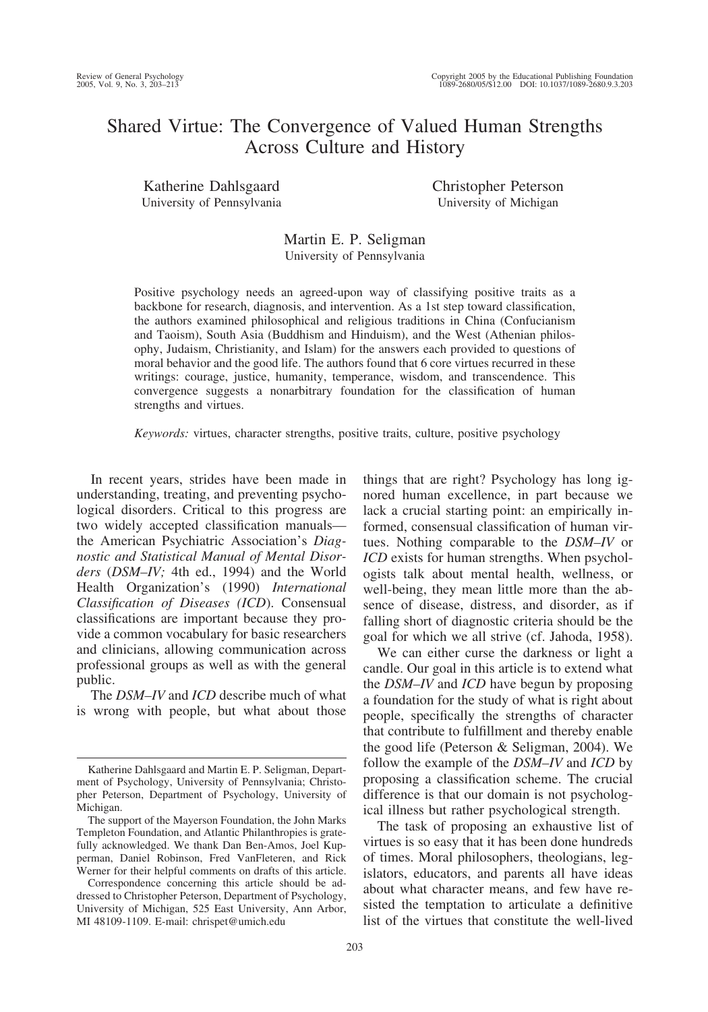# Shared Virtue: The Convergence of Valued Human Strengths Across Culture and History

Katherine Dahlsgaard University of Pennsylvania Christopher Peterson University of Michigan

# Martin E. P. Seligman University of Pennsylvania

Positive psychology needs an agreed-upon way of classifying positive traits as a backbone for research, diagnosis, and intervention. As a 1st step toward classification, the authors examined philosophical and religious traditions in China (Confucianism and Taoism), South Asia (Buddhism and Hinduism), and the West (Athenian philosophy, Judaism, Christianity, and Islam) for the answers each provided to questions of moral behavior and the good life. The authors found that 6 core virtues recurred in these writings: courage, justice, humanity, temperance, wisdom, and transcendence. This convergence suggests a nonarbitrary foundation for the classification of human strengths and virtues.

*Keywords:* virtues, character strengths, positive traits, culture, positive psychology

In recent years, strides have been made in understanding, treating, and preventing psychological disorders. Critical to this progress are two widely accepted classification manuals the American Psychiatric Association's *Diagnostic and Statistical Manual of Mental Disorders* (*DSM–IV;* 4th ed., 1994) and the World Health Organization's (1990) *International Classification of Diseases (ICD*). Consensual classifications are important because they provide a common vocabulary for basic researchers and clinicians, allowing communication across professional groups as well as with the general public.

The *DSM–IV* and *ICD* describe much of what is wrong with people, but what about those

things that are right? Psychology has long ignored human excellence, in part because we lack a crucial starting point: an empirically informed, consensual classification of human virtues. Nothing comparable to the *DSM–IV* or *ICD* exists for human strengths. When psychologists talk about mental health, wellness, or well-being, they mean little more than the absence of disease, distress, and disorder, as if falling short of diagnostic criteria should be the goal for which we all strive (cf. Jahoda, 1958).

We can either curse the darkness or light a candle. Our goal in this article is to extend what the *DSM–IV* and *ICD* have begun by proposing a foundation for the study of what is right about people, specifically the strengths of character that contribute to fulfillment and thereby enable the good life (Peterson & Seligman, 2004). We follow the example of the *DSM–IV* and *ICD* by proposing a classification scheme. The crucial difference is that our domain is not psychological illness but rather psychological strength.

The task of proposing an exhaustive list of virtues is so easy that it has been done hundreds of times. Moral philosophers, theologians, legislators, educators, and parents all have ideas about what character means, and few have resisted the temptation to articulate a definitive list of the virtues that constitute the well-lived

Katherine Dahlsgaard and Martin E. P. Seligman, Department of Psychology, University of Pennsylvania; Christopher Peterson, Department of Psychology, University of Michigan.

The support of the Mayerson Foundation, the John Marks Templeton Foundation, and Atlantic Philanthropies is gratefully acknowledged. We thank Dan Ben-Amos, Joel Kupperman, Daniel Robinson, Fred VanFleteren, and Rick Werner for their helpful comments on drafts of this article.

Correspondence concerning this article should be addressed to Christopher Peterson, Department of Psychology, University of Michigan, 525 East University, Ann Arbor, MI 48109-1109. E-mail: chrispet@umich.edu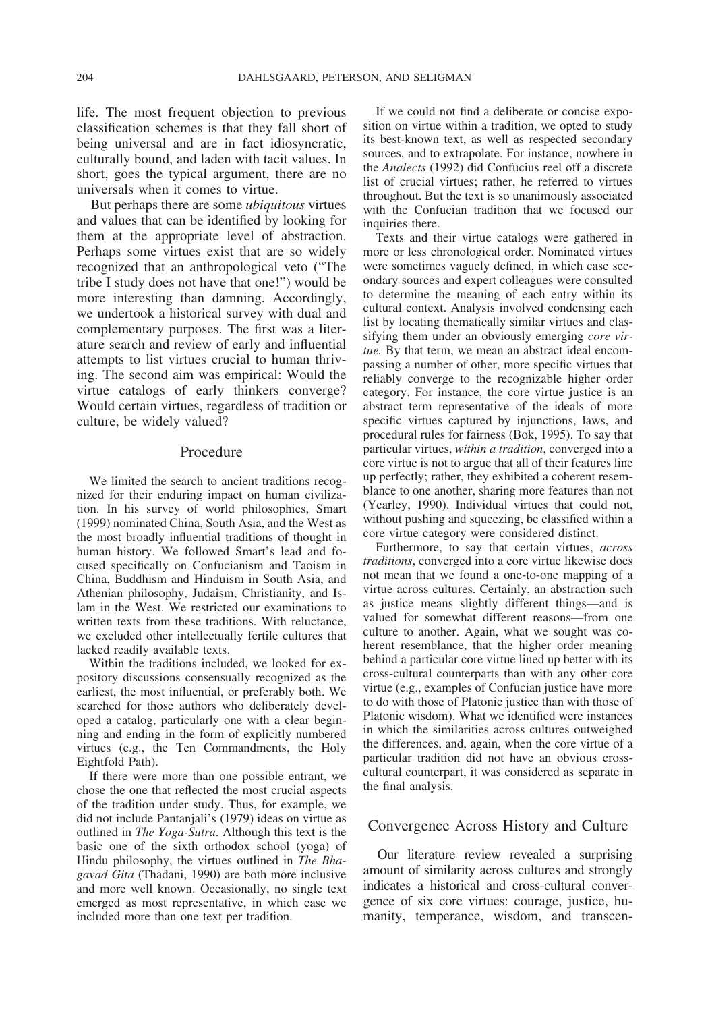life. The most frequent objection to previous classification schemes is that they fall short of being universal and are in fact idiosyncratic, culturally bound, and laden with tacit values. In short, goes the typical argument, there are no universals when it comes to virtue.

But perhaps there are some *ubiquitous* virtues and values that can be identified by looking for them at the appropriate level of abstraction. Perhaps some virtues exist that are so widely recognized that an anthropological veto ("The tribe I study does not have that one!") would be more interesting than damning. Accordingly, we undertook a historical survey with dual and complementary purposes. The first was a literature search and review of early and influential attempts to list virtues crucial to human thriving. The second aim was empirical: Would the virtue catalogs of early thinkers converge? Would certain virtues, regardless of tradition or culture, be widely valued?

#### Procedure

We limited the search to ancient traditions recognized for their enduring impact on human civilization. In his survey of world philosophies, Smart (1999) nominated China, South Asia, and the West as the most broadly influential traditions of thought in human history. We followed Smart's lead and focused specifically on Confucianism and Taoism in China, Buddhism and Hinduism in South Asia, and Athenian philosophy, Judaism, Christianity, and Islam in the West. We restricted our examinations to written texts from these traditions. With reluctance, we excluded other intellectually fertile cultures that lacked readily available texts.

Within the traditions included, we looked for expository discussions consensually recognized as the earliest, the most influential, or preferably both. We searched for those authors who deliberately developed a catalog, particularly one with a clear beginning and ending in the form of explicitly numbered virtues (e.g., the Ten Commandments, the Holy Eightfold Path).

If there were more than one possible entrant, we chose the one that reflected the most crucial aspects of the tradition under study. Thus, for example, we did not include Pantanjali's (1979) ideas on virtue as outlined in *The Yoga-Sutra*. Although this text is the basic one of the sixth orthodox school (yoga) of Hindu philosophy, the virtues outlined in *The Bhagavad Gita* (Thadani, 1990) are both more inclusive and more well known. Occasionally, no single text emerged as most representative, in which case we included more than one text per tradition.

If we could not find a deliberate or concise exposition on virtue within a tradition, we opted to study its best-known text, as well as respected secondary sources, and to extrapolate. For instance, nowhere in the *Analects* (1992) did Confucius reel off a discrete list of crucial virtues; rather, he referred to virtues throughout. But the text is so unanimously associated with the Confucian tradition that we focused our inquiries there.

Texts and their virtue catalogs were gathered in more or less chronological order. Nominated virtues were sometimes vaguely defined, in which case secondary sources and expert colleagues were consulted to determine the meaning of each entry within its cultural context. Analysis involved condensing each list by locating thematically similar virtues and classifying them under an obviously emerging *core virtue.* By that term, we mean an abstract ideal encompassing a number of other, more specific virtues that reliably converge to the recognizable higher order category. For instance, the core virtue justice is an abstract term representative of the ideals of more specific virtues captured by injunctions, laws, and procedural rules for fairness (Bok, 1995). To say that particular virtues, *within a tradition*, converged into a core virtue is not to argue that all of their features line up perfectly; rather, they exhibited a coherent resemblance to one another, sharing more features than not (Yearley, 1990). Individual virtues that could not, without pushing and squeezing, be classified within a core virtue category were considered distinct.

Furthermore, to say that certain virtues, *across traditions*, converged into a core virtue likewise does not mean that we found a one-to-one mapping of a virtue across cultures. Certainly, an abstraction such as justice means slightly different things—and is valued for somewhat different reasons—from one culture to another. Again, what we sought was coherent resemblance, that the higher order meaning behind a particular core virtue lined up better with its cross-cultural counterparts than with any other core virtue (e.g., examples of Confucian justice have more to do with those of Platonic justice than with those of Platonic wisdom). What we identified were instances in which the similarities across cultures outweighed the differences, and, again, when the core virtue of a particular tradition did not have an obvious crosscultural counterpart, it was considered as separate in the final analysis.

#### Convergence Across History and Culture

Our literature review revealed a surprising amount of similarity across cultures and strongly indicates a historical and cross-cultural convergence of six core virtues: courage, justice, humanity, temperance, wisdom, and transcen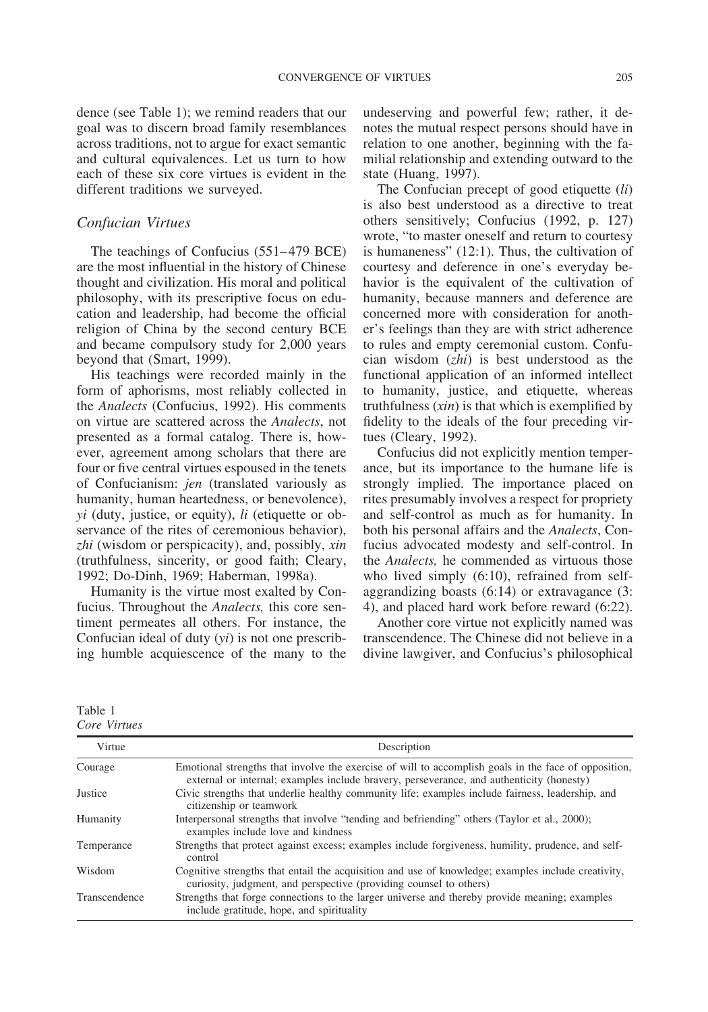dence (see Table 1); we remind readers that our goal was to discern broad family resemblances across traditions, not to argue for exact semantic and cultural equivalences. Let us turn to how each of these six core virtues is evident in the different traditions we surveyed.

#### *Confucian Virtues*

The teachings of Confucius (551– 479 BCE) are the most influential in the history of Chinese thought and civilization. His moral and political philosophy, with its prescriptive focus on education and leadership, had become the official religion of China by the second century BCE and became compulsory study for 2,000 years beyond that (Smart, 1999).

His teachings were recorded mainly in the form of aphorisms, most reliably collected in the *Analects* (Confucius, 1992). His comments on virtue are scattered across the *Analects*, not presented as a formal catalog. There is, however, agreement among scholars that there are four or five central virtues espoused in the tenets of Confucianism: *jen* (translated variously as humanity, human heartedness, or benevolence), *yi* (duty, justice, or equity), *li* (etiquette or observance of the rites of ceremonious behavior), *zhi* (wisdom or perspicacity), and, possibly, *xin* (truthfulness, sincerity, or good faith; Cleary, 1992; Do-Dinh, 1969; Haberman, 1998a).

Humanity is the virtue most exalted by Confucius. Throughout the *Analects,* this core sentiment permeates all others. For instance, the Confucian ideal of duty (*yi*) is not one prescribing humble acquiescence of the many to the

Table 1

undeserving and powerful few; rather, it denotes the mutual respect persons should have in relation to one another, beginning with the familial relationship and extending outward to the state (Huang, 1997).

The Confucian precept of good etiquette (*li*) is also best understood as a directive to treat others sensitively; Confucius (1992, p. 127) wrote, "to master oneself and return to courtesy is humaneness" (12:1). Thus, the cultivation of courtesy and deference in one's everyday behavior is the equivalent of the cultivation of humanity, because manners and deference are concerned more with consideration for another's feelings than they are with strict adherence to rules and empty ceremonial custom. Confucian wisdom (*zhi*) is best understood as the functional application of an informed intellect to humanity, justice, and etiquette, whereas truthfulness (*xin*) is that which is exemplified by fidelity to the ideals of the four preceding virtues (Cleary, 1992).

Confucius did not explicitly mention temperance, but its importance to the humane life is strongly implied. The importance placed on rites presumably involves a respect for propriety and self-control as much as for humanity. In both his personal affairs and the *Analects*, Confucius advocated modesty and self-control. In the *Analects,* he commended as virtuous those who lived simply (6:10), refrained from selfaggrandizing boasts (6:14) or extravagance (3: 4), and placed hard work before reward (6:22).

Another core virtue not explicitly named was transcendence. The Chinese did not believe in a divine lawgiver, and Confucius's philosophical

| raviv r<br>Core Virtues |                                                                                                                                                                                                  |  |  |  |  |  |
|-------------------------|--------------------------------------------------------------------------------------------------------------------------------------------------------------------------------------------------|--|--|--|--|--|
| Virtue                  | Description                                                                                                                                                                                      |  |  |  |  |  |
| Courage                 | Emotional strengths that involve the exercise of will to accomplish goals in the face of opposition,<br>external or internal; examples include bravery, perseverance, and authenticity (honesty) |  |  |  |  |  |
| Justice                 | Civic strengths that underlie healthy community life; examples include fairness, leadership, and<br>citizenship or teamwork                                                                      |  |  |  |  |  |
| Humanity                | Interpersonal strengths that involve "tending and befriending" others (Taylor et al., 2000);<br>examples include love and kindness                                                               |  |  |  |  |  |
| Temperance              | Strengths that protect against excess; examples include forgiveness, humility, prudence, and self-<br>control                                                                                    |  |  |  |  |  |
| Wisdom                  | Cognitive strengths that entail the acquisition and use of knowledge; examples include creativity,<br>curiosity, judgment, and perspective (providing counsel to others)                         |  |  |  |  |  |
| Transcendence           | Strengths that forge connections to the larger universe and thereby provide meaning; examples<br>include gratitude, hope, and spirituality                                                       |  |  |  |  |  |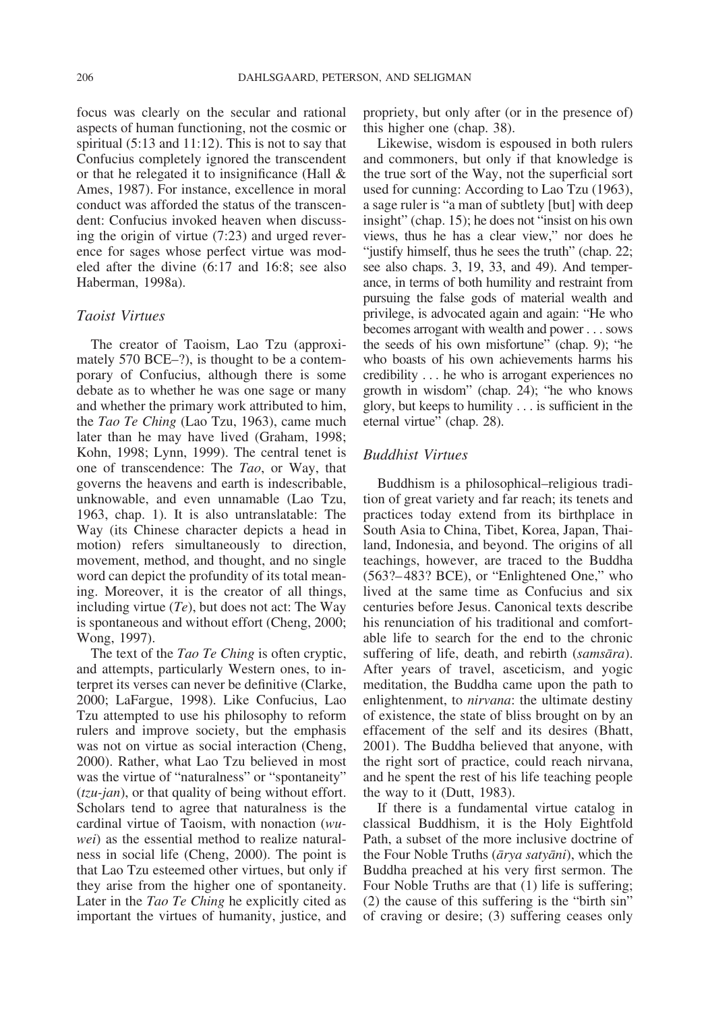focus was clearly on the secular and rational aspects of human functioning, not the cosmic or spiritual (5:13 and 11:12). This is not to say that Confucius completely ignored the transcendent or that he relegated it to insignificance (Hall & Ames, 1987). For instance, excellence in moral conduct was afforded the status of the transcendent: Confucius invoked heaven when discussing the origin of virtue (7:23) and urged reverence for sages whose perfect virtue was modeled after the divine (6:17 and 16:8; see also Haberman, 1998a).

## *Taoist Virtues*

The creator of Taoism, Lao Tzu (approximately 570 BCE–?), is thought to be a contemporary of Confucius, although there is some debate as to whether he was one sage or many and whether the primary work attributed to him, the *Tao Te Ching* (Lao Tzu, 1963), came much later than he may have lived (Graham, 1998; Kohn, 1998; Lynn, 1999). The central tenet is one of transcendence: The *Tao*, or Way, that governs the heavens and earth is indescribable, unknowable, and even unnamable (Lao Tzu, 1963, chap. 1). It is also untranslatable: The Way (its Chinese character depicts a head in motion) refers simultaneously to direction, movement, method, and thought, and no single word can depict the profundity of its total meaning. Moreover, it is the creator of all things, including virtue (*Te*), but does not act: The Way is spontaneous and without effort (Cheng, 2000; Wong, 1997).

The text of the *Tao Te Ching* is often cryptic, and attempts, particularly Western ones, to interpret its verses can never be definitive (Clarke, 2000; LaFargue, 1998). Like Confucius, Lao Tzu attempted to use his philosophy to reform rulers and improve society, but the emphasis was not on virtue as social interaction (Cheng, 2000). Rather, what Lao Tzu believed in most was the virtue of "naturalness" or "spontaneity" (*tzu-jan*), or that quality of being without effort. Scholars tend to agree that naturalness is the cardinal virtue of Taoism, with nonaction (*wuwei*) as the essential method to realize naturalness in social life (Cheng, 2000). The point is that Lao Tzu esteemed other virtues, but only if they arise from the higher one of spontaneity. Later in the *Tao Te Ching* he explicitly cited as important the virtues of humanity, justice, and

propriety, but only after (or in the presence of) this higher one (chap. 38).

Likewise, wisdom is espoused in both rulers and commoners, but only if that knowledge is the true sort of the Way, not the superficial sort used for cunning: According to Lao Tzu (1963), a sage ruler is "a man of subtlety [but] with deep insight" (chap. 15); he does not "insist on his own views, thus he has a clear view," nor does he "justify himself, thus he sees the truth" (chap. 22; see also chaps. 3, 19, 33, and 49). And temperance, in terms of both humility and restraint from pursuing the false gods of material wealth and privilege, is advocated again and again: "He who becomes arrogant with wealth and power . . . sows the seeds of his own misfortune" (chap. 9); "he who boasts of his own achievements harms his credibility . . . he who is arrogant experiences no growth in wisdom" (chap. 24); "he who knows glory, but keeps to humility . . . is sufficient in the eternal virtue" (chap. 28).

### *Buddhist Virtues*

Buddhism is a philosophical–religious tradition of great variety and far reach; its tenets and practices today extend from its birthplace in South Asia to China, Tibet, Korea, Japan, Thailand, Indonesia, and beyond. The origins of all teachings, however, are traced to the Buddha (563?– 483? BCE), or "Enlightened One," who lived at the same time as Confucius and six centuries before Jesus. Canonical texts describe his renunciation of his traditional and comfortable life to search for the end to the chronic suffering of life, death, and rebirth (samsāra). After years of travel, asceticism, and yogic meditation, the Buddha came upon the path to enlightenment, to *nirvana*: the ultimate destiny of existence, the state of bliss brought on by an effacement of the self and its desires (Bhatt, 2001). The Buddha believed that anyone, with the right sort of practice, could reach nirvana, and he spent the rest of his life teaching people the way to it (Dutt, 1983).

If there is a fundamental virtue catalog in classical Buddhism, it is the Holy Eightfold Path, a subset of the more inclusive doctrine of the Four Noble Truths ( $\bar{a}$ rya saty $\bar{a}$ ni), which the Buddha preached at his very first sermon. The Four Noble Truths are that (1) life is suffering; (2) the cause of this suffering is the "birth sin" of craving or desire; (3) suffering ceases only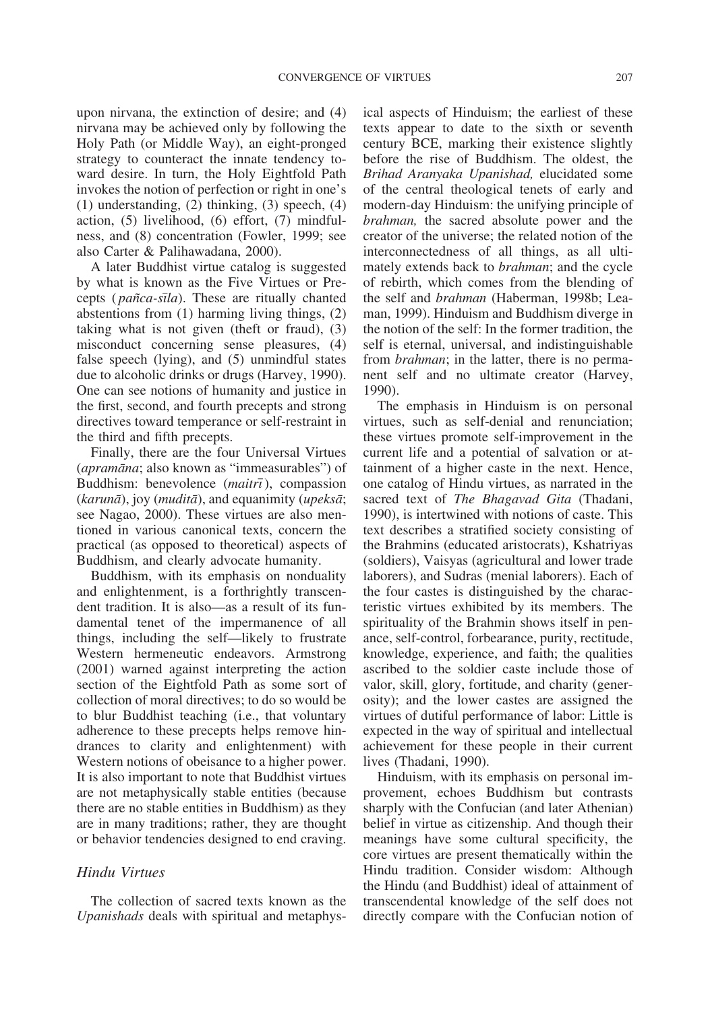upon nirvana, the extinction of desire; and (4) nirvana may be achieved only by following the Holy Path (or Middle Way), an eight-pronged strategy to counteract the innate tendency toward desire. In turn, the Holy Eightfold Path invokes the notion of perfection or right in one's (1) understanding, (2) thinking, (3) speech, (4) action, (5) livelihood, (6) effort, (7) mindfulness, and (8) concentration (Fowler, 1999; see also Carter & Palihawadana, 2000).

A later Buddhist virtue catalog is suggested by what is known as the Five Virtues or Precepts ( *pan˜ca-sıla*). These are ritually chanted abstentions from (1) harming living things, (2) taking what is not given (theft or fraud), (3) misconduct concerning sense pleasures, (4) false speech (lying), and (5) unmindful states due to alcoholic drinks or drugs (Harvey, 1990). One can see notions of humanity and justice in the first, second, and fourth precepts and strong directives toward temperance or self-restraint in the third and fifth precepts.

Finally, there are the four Universal Virtues (*apramāna*; also known as "immeasurables") of Buddhism: benevolence (*maitrı*), compassion (*karuna¯*), joy (*mudita¯*), and equanimity (*upeksa¯*; see Nagao, 2000). These virtues are also mentioned in various canonical texts, concern the practical (as opposed to theoretical) aspects of Buddhism, and clearly advocate humanity.

Buddhism, with its emphasis on nonduality and enlightenment, is a forthrightly transcendent tradition. It is also—as a result of its fundamental tenet of the impermanence of all things, including the self—likely to frustrate Western hermeneutic endeavors. Armstrong (2001) warned against interpreting the action section of the Eightfold Path as some sort of collection of moral directives; to do so would be to blur Buddhist teaching (i.e., that voluntary adherence to these precepts helps remove hindrances to clarity and enlightenment) with Western notions of obeisance to a higher power. It is also important to note that Buddhist virtues are not metaphysically stable entities (because there are no stable entities in Buddhism) as they are in many traditions; rather, they are thought or behavior tendencies designed to end craving.

## *Hindu Virtues*

The collection of sacred texts known as the *Upanishads* deals with spiritual and metaphysical aspects of Hinduism; the earliest of these texts appear to date to the sixth or seventh century BCE, marking their existence slightly before the rise of Buddhism. The oldest, the *Brihad Aranyaka Upanishad,* elucidated some of the central theological tenets of early and modern-day Hinduism: the unifying principle of *brahman,* the sacred absolute power and the creator of the universe; the related notion of the interconnectedness of all things, as all ultimately extends back to *brahman*; and the cycle of rebirth, which comes from the blending of the self and *brahman* (Haberman, 1998b; Leaman, 1999). Hinduism and Buddhism diverge in the notion of the self: In the former tradition, the self is eternal, universal, and indistinguishable from *brahman*; in the latter, there is no permanent self and no ultimate creator (Harvey, 1990).

The emphasis in Hinduism is on personal virtues, such as self-denial and renunciation; these virtues promote self-improvement in the current life and a potential of salvation or attainment of a higher caste in the next. Hence, one catalog of Hindu virtues, as narrated in the sacred text of *The Bhagavad Gita* (Thadani, 1990), is intertwined with notions of caste. This text describes a stratified society consisting of the Brahmins (educated aristocrats), Kshatriyas (soldiers), Vaisyas (agricultural and lower trade laborers), and Sudras (menial laborers). Each of the four castes is distinguished by the characteristic virtues exhibited by its members. The spirituality of the Brahmin shows itself in penance, self-control, forbearance, purity, rectitude, knowledge, experience, and faith; the qualities ascribed to the soldier caste include those of valor, skill, glory, fortitude, and charity (generosity); and the lower castes are assigned the virtues of dutiful performance of labor: Little is expected in the way of spiritual and intellectual achievement for these people in their current lives (Thadani, 1990).

Hinduism, with its emphasis on personal improvement, echoes Buddhism but contrasts sharply with the Confucian (and later Athenian) belief in virtue as citizenship. And though their meanings have some cultural specificity, the core virtues are present thematically within the Hindu tradition. Consider wisdom: Although the Hindu (and Buddhist) ideal of attainment of transcendental knowledge of the self does not directly compare with the Confucian notion of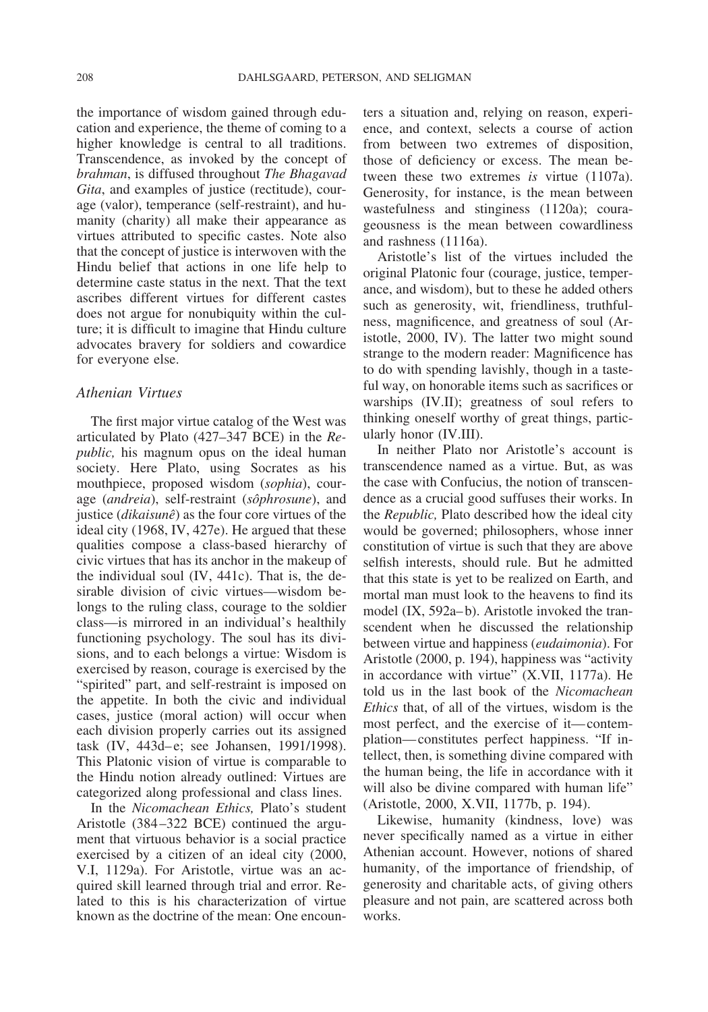the importance of wisdom gained through education and experience, the theme of coming to a higher knowledge is central to all traditions. Transcendence, as invoked by the concept of *brahman*, is diffused throughout *The Bhagavad Gita*, and examples of justice (rectitude), courage (valor), temperance (self-restraint), and humanity (charity) all make their appearance as virtues attributed to specific castes. Note also that the concept of justice is interwoven with the Hindu belief that actions in one life help to determine caste status in the next. That the text ascribes different virtues for different castes does not argue for nonubiquity within the culture; it is difficult to imagine that Hindu culture advocates bravery for soldiers and cowardice for everyone else.

#### *Athenian Virtues*

The first major virtue catalog of the West was articulated by Plato (427–347 BCE) in the *Republic,* his magnum opus on the ideal human society. Here Plato, using Socrates as his mouthpiece, proposed wisdom (*sophia*), courage (*andreia*), self-restraint (*soˆphrosune*), and justice (*dikaisunê*) as the four core virtues of the ideal city (1968, IV, 427e). He argued that these qualities compose a class-based hierarchy of civic virtues that has its anchor in the makeup of the individual soul (IV, 441c). That is, the desirable division of civic virtues—wisdom belongs to the ruling class, courage to the soldier class—is mirrored in an individual's healthily functioning psychology. The soul has its divisions, and to each belongs a virtue: Wisdom is exercised by reason, courage is exercised by the "spirited" part, and self-restraint is imposed on the appetite. In both the civic and individual cases, justice (moral action) will occur when each division properly carries out its assigned task (IV, 443d–e; see Johansen, 1991/1998). This Platonic vision of virtue is comparable to the Hindu notion already outlined: Virtues are categorized along professional and class lines.

In the *Nicomachean Ethics,* Plato's student Aristotle (384 –322 BCE) continued the argument that virtuous behavior is a social practice exercised by a citizen of an ideal city (2000, V.I, 1129a). For Aristotle, virtue was an acquired skill learned through trial and error. Related to this is his characterization of virtue known as the doctrine of the mean: One encounters a situation and, relying on reason, experience, and context, selects a course of action from between two extremes of disposition, those of deficiency or excess. The mean between these two extremes *is* virtue (1107a). Generosity, for instance, is the mean between wastefulness and stinginess (1120a); courageousness is the mean between cowardliness and rashness (1116a).

Aristotle's list of the virtues included the original Platonic four (courage, justice, temperance, and wisdom), but to these he added others such as generosity, wit, friendliness, truthfulness, magnificence, and greatness of soul (Aristotle, 2000, IV). The latter two might sound strange to the modern reader: Magnificence has to do with spending lavishly, though in a tasteful way, on honorable items such as sacrifices or warships (IV.II); greatness of soul refers to thinking oneself worthy of great things, particularly honor (IV.III).

In neither Plato nor Aristotle's account is transcendence named as a virtue. But, as was the case with Confucius, the notion of transcendence as a crucial good suffuses their works. In the *Republic,* Plato described how the ideal city would be governed; philosophers, whose inner constitution of virtue is such that they are above selfish interests, should rule. But he admitted that this state is yet to be realized on Earth, and mortal man must look to the heavens to find its model (IX, 592a–b). Aristotle invoked the transcendent when he discussed the relationship between virtue and happiness (*eudaimonia*). For Aristotle (2000, p. 194), happiness was "activity in accordance with virtue" (X.VII, 1177a). He told us in the last book of the *Nicomachean Ethics* that, of all of the virtues, wisdom is the most perfect, and the exercise of it— contemplation— constitutes perfect happiness. "If intellect, then, is something divine compared with the human being, the life in accordance with it will also be divine compared with human life" (Aristotle, 2000, X.VII, 1177b, p. 194).

Likewise, humanity (kindness, love) was never specifically named as a virtue in either Athenian account. However, notions of shared humanity, of the importance of friendship, of generosity and charitable acts, of giving others pleasure and not pain, are scattered across both works.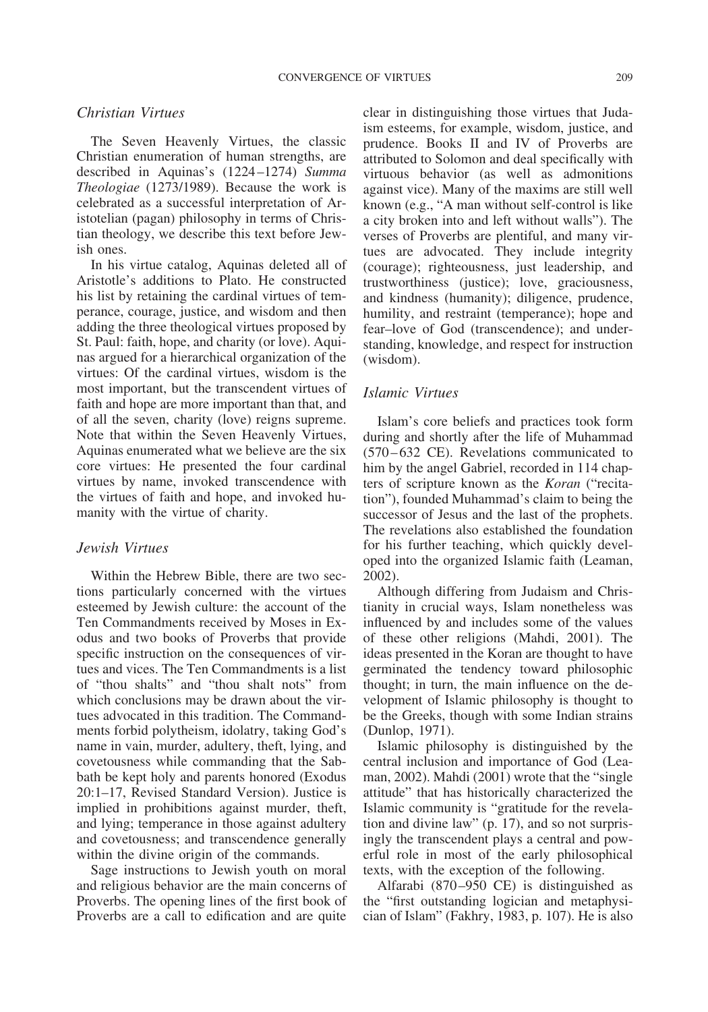# *Christian Virtues*

The Seven Heavenly Virtues, the classic Christian enumeration of human strengths, are described in Aquinas's (1224 –1274) *Summa Theologiae* (1273/1989). Because the work is celebrated as a successful interpretation of Aristotelian (pagan) philosophy in terms of Christian theology, we describe this text before Jewish ones.

In his virtue catalog, Aquinas deleted all of Aristotle's additions to Plato. He constructed his list by retaining the cardinal virtues of temperance, courage, justice, and wisdom and then adding the three theological virtues proposed by St. Paul: faith, hope, and charity (or love). Aquinas argued for a hierarchical organization of the virtues: Of the cardinal virtues, wisdom is the most important, but the transcendent virtues of faith and hope are more important than that, and of all the seven, charity (love) reigns supreme. Note that within the Seven Heavenly Virtues, Aquinas enumerated what we believe are the six core virtues: He presented the four cardinal virtues by name, invoked transcendence with the virtues of faith and hope, and invoked humanity with the virtue of charity.

## *Jewish Virtues*

Within the Hebrew Bible, there are two sections particularly concerned with the virtues esteemed by Jewish culture: the account of the Ten Commandments received by Moses in Exodus and two books of Proverbs that provide specific instruction on the consequences of virtues and vices. The Ten Commandments is a list of "thou shalts" and "thou shalt nots" from which conclusions may be drawn about the virtues advocated in this tradition. The Commandments forbid polytheism, idolatry, taking God's name in vain, murder, adultery, theft, lying, and covetousness while commanding that the Sabbath be kept holy and parents honored (Exodus 20:1–17, Revised Standard Version). Justice is implied in prohibitions against murder, theft, and lying; temperance in those against adultery and covetousness; and transcendence generally within the divine origin of the commands.

Sage instructions to Jewish youth on moral and religious behavior are the main concerns of Proverbs. The opening lines of the first book of Proverbs are a call to edification and are quite

clear in distinguishing those virtues that Judaism esteems, for example, wisdom, justice, and prudence. Books II and IV of Proverbs are attributed to Solomon and deal specifically with virtuous behavior (as well as admonitions against vice). Many of the maxims are still well known (e.g., "A man without self-control is like a city broken into and left without walls"). The verses of Proverbs are plentiful, and many virtues are advocated. They include integrity (courage); righteousness, just leadership, and trustworthiness (justice); love, graciousness, and kindness (humanity); diligence, prudence, humility, and restraint (temperance); hope and fear–love of God (transcendence); and understanding, knowledge, and respect for instruction (wisdom).

### *Islamic Virtues*

Islam's core beliefs and practices took form during and shortly after the life of Muhammad (570 – 632 CE). Revelations communicated to him by the angel Gabriel, recorded in 114 chapters of scripture known as the *Koran* ("recitation"), founded Muhammad's claim to being the successor of Jesus and the last of the prophets. The revelations also established the foundation for his further teaching, which quickly developed into the organized Islamic faith (Leaman, 2002).

Although differing from Judaism and Christianity in crucial ways, Islam nonetheless was influenced by and includes some of the values of these other religions (Mahdi, 2001). The ideas presented in the Koran are thought to have germinated the tendency toward philosophic thought; in turn, the main influence on the development of Islamic philosophy is thought to be the Greeks, though with some Indian strains (Dunlop, 1971).

Islamic philosophy is distinguished by the central inclusion and importance of God (Leaman, 2002). Mahdi (2001) wrote that the "single attitude" that has historically characterized the Islamic community is "gratitude for the revelation and divine law" (p. 17), and so not surprisingly the transcendent plays a central and powerful role in most of the early philosophical texts, with the exception of the following.

Alfarabi (870–950 CE) is distinguished as the "first outstanding logician and metaphysician of Islam" (Fakhry, 1983, p. 107). He is also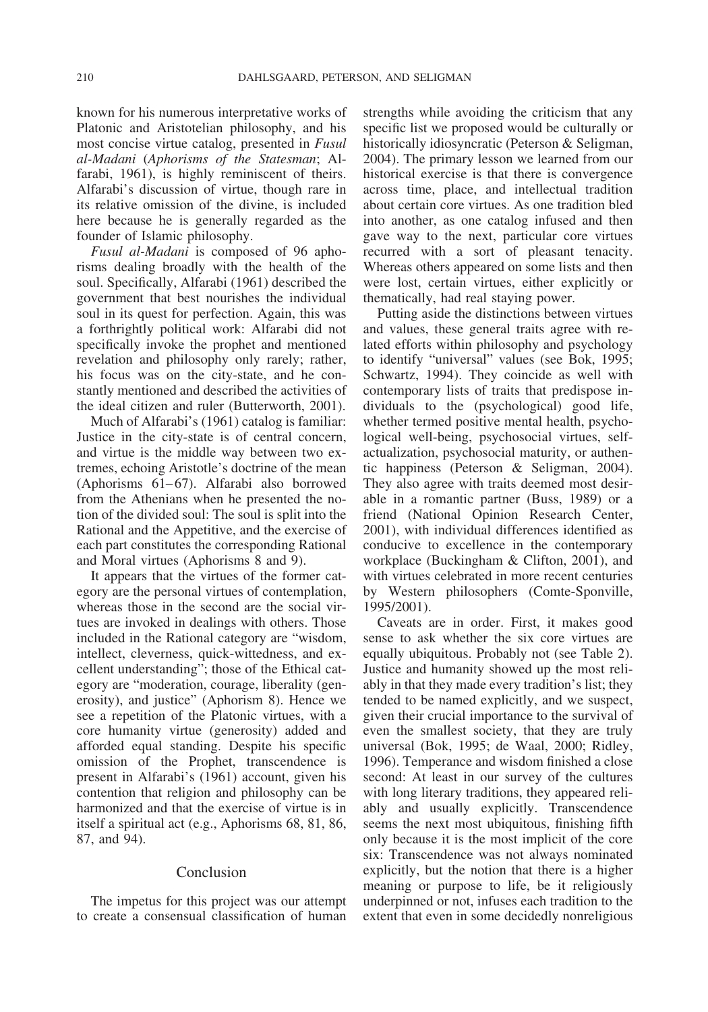known for his numerous interpretative works of Platonic and Aristotelian philosophy, and his most concise virtue catalog, presented in *Fusul al-Madani* (*Aphorisms of the Statesman*; Alfarabi, 1961), is highly reminiscent of theirs. Alfarabi's discussion of virtue, though rare in its relative omission of the divine, is included here because he is generally regarded as the founder of Islamic philosophy.

*Fusul al-Madani* is composed of 96 aphorisms dealing broadly with the health of the soul. Specifically, Alfarabi (1961) described the government that best nourishes the individual soul in its quest for perfection. Again, this was a forthrightly political work: Alfarabi did not specifically invoke the prophet and mentioned revelation and philosophy only rarely; rather, his focus was on the city-state, and he constantly mentioned and described the activities of the ideal citizen and ruler (Butterworth, 2001).

Much of Alfarabi's (1961) catalog is familiar: Justice in the city-state is of central concern, and virtue is the middle way between two extremes, echoing Aristotle's doctrine of the mean (Aphorisms  $61-67$ ). Alfarabi also borrowed from the Athenians when he presented the notion of the divided soul: The soul is split into the Rational and the Appetitive, and the exercise of each part constitutes the corresponding Rational and Moral virtues (Aphorisms 8 and 9).

It appears that the virtues of the former category are the personal virtues of contemplation, whereas those in the second are the social virtues are invoked in dealings with others. Those included in the Rational category are "wisdom, intellect, cleverness, quick-wittedness, and excellent understanding"; those of the Ethical category are "moderation, courage, liberality (generosity), and justice" (Aphorism 8). Hence we see a repetition of the Platonic virtues, with a core humanity virtue (generosity) added and afforded equal standing. Despite his specific omission of the Prophet, transcendence is present in Alfarabi's (1961) account, given his contention that religion and philosophy can be harmonized and that the exercise of virtue is in itself a spiritual act (e.g., Aphorisms 68, 81, 86, 87, and 94).

## Conclusion

The impetus for this project was our attempt to create a consensual classification of human

strengths while avoiding the criticism that any specific list we proposed would be culturally or historically idiosyncratic (Peterson & Seligman, 2004). The primary lesson we learned from our historical exercise is that there is convergence across time, place, and intellectual tradition about certain core virtues. As one tradition bled into another, as one catalog infused and then gave way to the next, particular core virtues recurred with a sort of pleasant tenacity. Whereas others appeared on some lists and then were lost, certain virtues, either explicitly or thematically, had real staying power.

Putting aside the distinctions between virtues and values, these general traits agree with related efforts within philosophy and psychology to identify "universal" values (see Bok, 1995; Schwartz, 1994). They coincide as well with contemporary lists of traits that predispose individuals to the (psychological) good life, whether termed positive mental health, psychological well-being, psychosocial virtues, selfactualization, psychosocial maturity, or authentic happiness (Peterson & Seligman, 2004). They also agree with traits deemed most desirable in a romantic partner (Buss, 1989) or a friend (National Opinion Research Center, 2001), with individual differences identified as conducive to excellence in the contemporary workplace (Buckingham & Clifton, 2001), and with virtues celebrated in more recent centuries by Western philosophers (Comte-Sponville, 1995/2001).

Caveats are in order. First, it makes good sense to ask whether the six core virtues are equally ubiquitous. Probably not (see Table 2). Justice and humanity showed up the most reliably in that they made every tradition's list; they tended to be named explicitly, and we suspect, given their crucial importance to the survival of even the smallest society, that they are truly universal (Bok, 1995; de Waal, 2000; Ridley, 1996). Temperance and wisdom finished a close second: At least in our survey of the cultures with long literary traditions, they appeared reliably and usually explicitly. Transcendence seems the next most ubiquitous, finishing fifth only because it is the most implicit of the core six: Transcendence was not always nominated explicitly, but the notion that there is a higher meaning or purpose to life, be it religiously underpinned or not, infuses each tradition to the extent that even in some decidedly nonreligious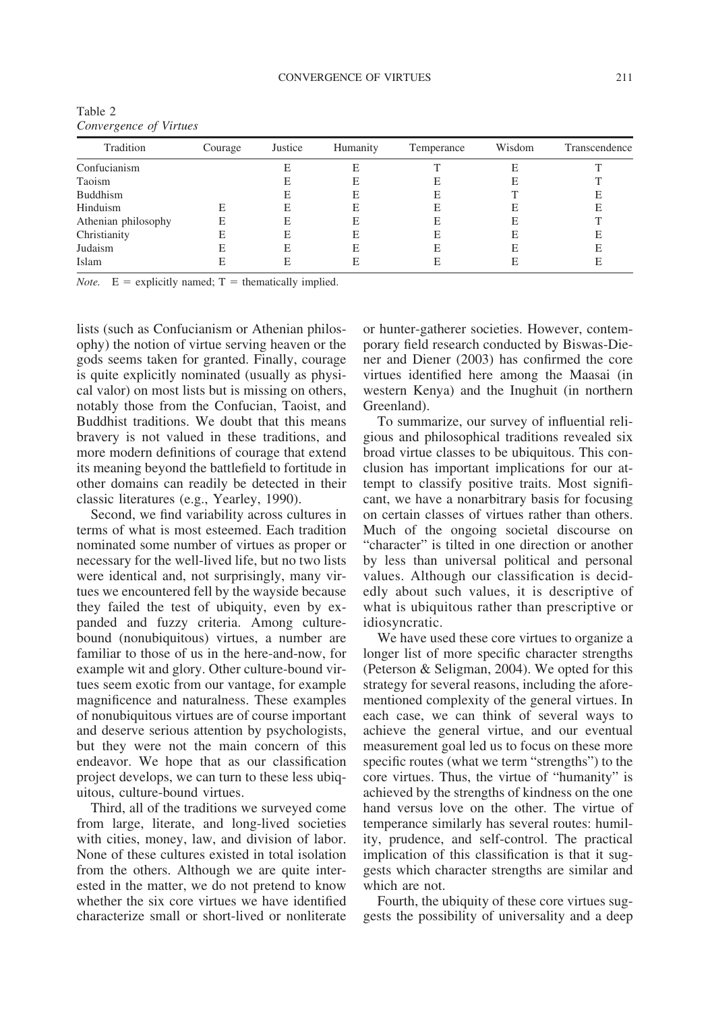| Tradition           | Courage | Justice | Humanity | Temperance | Wisdom | Transcendence |
|---------------------|---------|---------|----------|------------|--------|---------------|
| Confucianism        |         | E       | E        |            |        |               |
| Taoism              |         | E       | Е        | E          |        |               |
| <b>Buddhism</b>     |         | E       | E        | E          |        | E             |
| Hinduism            |         | E       | E        | E          |        | E             |
| Athenian philosophy | E       | E       | E        | E          |        |               |
| Christianity        | E       | E       | E        | E          |        | E             |
| Judaism             | E       | E       | E        | E          |        | Е             |
| Islam               |         | E       | Е        | E          |        | Е             |
|                     |         |         |          |            |        |               |

Table 2 *Convergence of Virtues*

*Note.*  $E =$  explicitly named;  $T =$  thematically implied.

lists (such as Confucianism or Athenian philosophy) the notion of virtue serving heaven or the gods seems taken for granted. Finally, courage is quite explicitly nominated (usually as physical valor) on most lists but is missing on others, notably those from the Confucian, Taoist, and Buddhist traditions. We doubt that this means bravery is not valued in these traditions, and more modern definitions of courage that extend its meaning beyond the battlefield to fortitude in other domains can readily be detected in their classic literatures (e.g., Yearley, 1990).

Second, we find variability across cultures in terms of what is most esteemed. Each tradition nominated some number of virtues as proper or necessary for the well-lived life, but no two lists were identical and, not surprisingly, many virtues we encountered fell by the wayside because they failed the test of ubiquity, even by expanded and fuzzy criteria. Among culturebound (nonubiquitous) virtues, a number are familiar to those of us in the here-and-now, for example wit and glory. Other culture-bound virtues seem exotic from our vantage, for example magnificence and naturalness. These examples of nonubiquitous virtues are of course important and deserve serious attention by psychologists, but they were not the main concern of this endeavor. We hope that as our classification project develops, we can turn to these less ubiquitous, culture-bound virtues.

Third, all of the traditions we surveyed come from large, literate, and long-lived societies with cities, money, law, and division of labor. None of these cultures existed in total isolation from the others. Although we are quite interested in the matter, we do not pretend to know whether the six core virtues we have identified characterize small or short-lived or nonliterate or hunter-gatherer societies. However, contemporary field research conducted by Biswas-Diener and Diener (2003) has confirmed the core virtues identified here among the Maasai (in western Kenya) and the Inughuit (in northern Greenland).

To summarize, our survey of influential religious and philosophical traditions revealed six broad virtue classes to be ubiquitous. This conclusion has important implications for our attempt to classify positive traits. Most significant, we have a nonarbitrary basis for focusing on certain classes of virtues rather than others. Much of the ongoing societal discourse on "character" is tilted in one direction or another by less than universal political and personal values. Although our classification is decidedly about such values, it is descriptive of what is ubiquitous rather than prescriptive or idiosyncratic.

We have used these core virtues to organize a longer list of more specific character strengths (Peterson & Seligman, 2004). We opted for this strategy for several reasons, including the aforementioned complexity of the general virtues. In each case, we can think of several ways to achieve the general virtue, and our eventual measurement goal led us to focus on these more specific routes (what we term "strengths") to the core virtues. Thus, the virtue of "humanity" is achieved by the strengths of kindness on the one hand versus love on the other. The virtue of temperance similarly has several routes: humility, prudence, and self-control. The practical implication of this classification is that it suggests which character strengths are similar and which are not.

Fourth, the ubiquity of these core virtues suggests the possibility of universality and a deep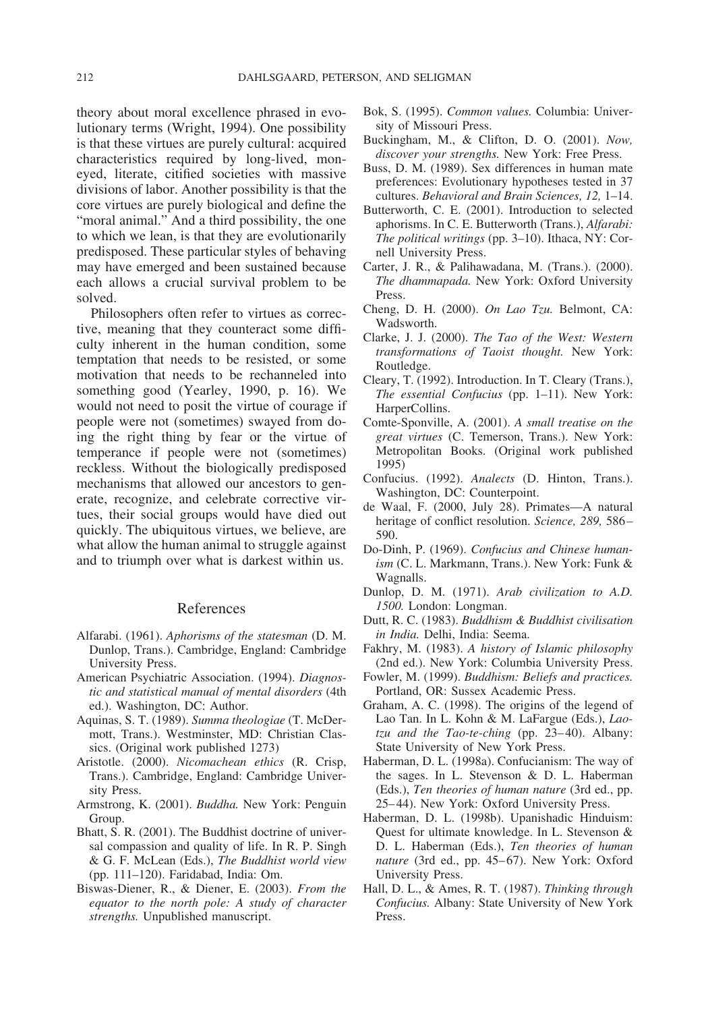theory about moral excellence phrased in evolutionary terms (Wright, 1994). One possibility is that these virtues are purely cultural: acquired characteristics required by long-lived, moneyed, literate, citified societies with massive divisions of labor. Another possibility is that the core virtues are purely biological and define the "moral animal." And a third possibility, the one to which we lean, is that they are evolutionarily predisposed. These particular styles of behaving may have emerged and been sustained because each allows a crucial survival problem to be solved.

Philosophers often refer to virtues as corrective, meaning that they counteract some difficulty inherent in the human condition, some temptation that needs to be resisted, or some motivation that needs to be rechanneled into something good (Yearley, 1990, p. 16). We would not need to posit the virtue of courage if people were not (sometimes) swayed from doing the right thing by fear or the virtue of temperance if people were not (sometimes) reckless. Without the biologically predisposed mechanisms that allowed our ancestors to generate, recognize, and celebrate corrective virtues, their social groups would have died out quickly. The ubiquitous virtues, we believe, are what allow the human animal to struggle against and to triumph over what is darkest within us.

#### References

- Alfarabi. (1961). *Aphorisms of the statesman* (D. M. Dunlop, Trans.). Cambridge, England: Cambridge University Press.
- American Psychiatric Association. (1994). *Diagnostic and statistical manual of mental disorders* (4th ed.). Washington, DC: Author.
- Aquinas, S. T. (1989). *Summa theologiae* (T. McDermott, Trans.). Westminster, MD: Christian Classics. (Original work published 1273)
- Aristotle. (2000). *Nicomachean ethics* (R. Crisp, Trans.). Cambridge, England: Cambridge University Press.
- Armstrong, K. (2001). *Buddha.* New York: Penguin Group.
- Bhatt, S. R. (2001). The Buddhist doctrine of universal compassion and quality of life. In R. P. Singh & G. F. McLean (Eds.), *The Buddhist world view* (pp. 111–120). Faridabad, India: Om.
- Biswas-Diener, R., & Diener, E. (2003). *From the equator to the north pole: A study of character strengths.* Unpublished manuscript.
- Bok, S. (1995). *Common values.* Columbia: University of Missouri Press.
- Buckingham, M., & Clifton, D. O. (2001). *Now, discover your strengths.* New York: Free Press.
- Buss, D. M. (1989). Sex differences in human mate preferences: Evolutionary hypotheses tested in 37 cultures. *Behavioral and Brain Sciences, 12,* 1–14.
- Butterworth, C. E. (2001). Introduction to selected aphorisms. In C. E. Butterworth (Trans.), *Alfarabi: The political writings* (pp. 3–10). Ithaca, NY: Cornell University Press.
- Carter, J. R., & Palihawadana, M. (Trans.). (2000). *The dhammapada.* New York: Oxford University Press.
- Cheng, D. H. (2000). *On Lao Tzu.* Belmont, CA: Wadsworth.
- Clarke, J. J. (2000). *The Tao of the West: Western transformations of Taoist thought.* New York: Routledge.
- Cleary, T. (1992). Introduction. In T. Cleary (Trans.), *The essential Confucius* (pp. 1–11). New York: HarperCollins.
- Comte-Sponville, A. (2001). *A small treatise on the great virtues* (C. Temerson, Trans.). New York: Metropolitan Books. (Original work published 1995)
- Confucius. (1992). *Analects* (D. Hinton, Trans.). Washington, DC: Counterpoint.
- de Waal, F. (2000, July 28). Primates—A natural heritage of conflict resolution. *Science, 289,* 586 – 590.
- Do-Dinh, P. (1969). *Confucius and Chinese humanism* (C. L. Markmann, Trans.). New York: Funk & Wagnalls.
- Dunlop, D. M. (1971). *Arab civilization to A.D. 1500.* London: Longman.
- Dutt, R. C. (1983). *Buddhism & Buddhist civilisation in India.* Delhi, India: Seema.
- Fakhry, M. (1983). *A history of Islamic philosophy* (2nd ed.). New York: Columbia University Press.
- Fowler, M. (1999). *Buddhism: Beliefs and practices.* Portland, OR: Sussex Academic Press.
- Graham, A. C. (1998). The origins of the legend of Lao Tan. In L. Kohn & M. LaFargue (Eds.), *Laotzu and the Tao-te-ching* (pp. 23– 40). Albany: State University of New York Press.
- Haberman, D. L. (1998a). Confucianism: The way of the sages. In L. Stevenson & D. L. Haberman (Eds.), *Ten theories of human nature* (3rd ed., pp. 25– 44). New York: Oxford University Press.
- Haberman, D. L. (1998b). Upanishadic Hinduism: Quest for ultimate knowledge. In L. Stevenson & D. L. Haberman (Eds.), *Ten theories of human* nature (3rd ed., pp. 45-67). New York: Oxford University Press.
- Hall, D. L., & Ames, R. T. (1987). *Thinking through Confucius.* Albany: State University of New York Press.